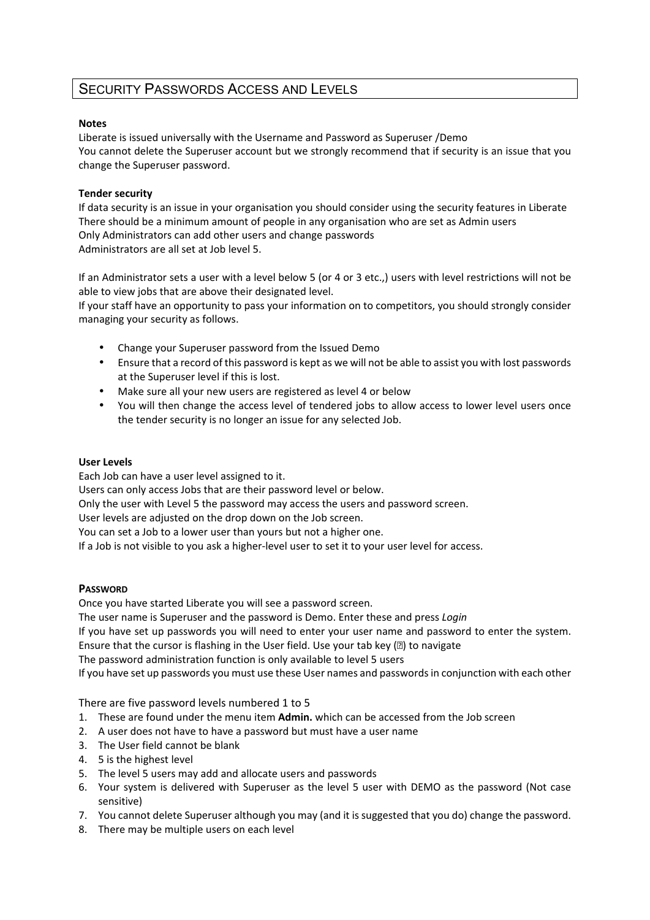# SECURITY PASSWORDS ACCESS AND LEVELS

# **Notes**

Liberate is issued universally with the Username and Password as Superuser /Demo You cannot delete the Superuser account but we strongly recommend that if security is an issue that you change the Superuser password.

# **Tender security**

If data security is an issue in your organisation you should consider using the security features in Liberate There should be a minimum amount of people in any organisation who are set as Admin users Only Administrators can add other users and change passwords Administrators are all set at Job level 5.

If an Administrator sets a user with a level below 5 (or 4 or 3 etc.,) users with level restrictions will not be able to view jobs that are above their designated level.

If your staff have an opportunity to pass your information on to competitors, you should strongly consider managing your security as follows.

- Change your Superuser password from the Issued Demo
- Ensure that a record of this password is kept as we will not be able to assist you with lost passwords at the Superuser level if this is lost.
- Make sure all your new users are registered as level 4 or below
- You will then change the access level of tendered jobs to allow access to lower level users once the tender security is no longer an issue for any selected Job.

### **User Levels**

Each Job can have a user level assigned to it. Users can only access Jobs that are their password level or below. Only the user with Level 5 the password may access the users and password screen. User levels are adjusted on the drop down on the Job screen. You can set a Job to a lower user than yours but not a higher one. If a Job is not visible to you ask a higher-level user to set it to your user level for access.

### **PASSWORD**

Once you have started Liberate you will see a password screen.

The user name is Superuser and the password is Demo. Enter these and press *Login*

If you have set up passwords you will need to enter your user name and password to enter the system. Ensure that the cursor is flashing in the User field. Use your tab key  $(2)$  to navigate

The password administration function is only available to level 5 users

If you have set up passwords you must use these User names and passwords in conjunction with each other

There are five password levels numbered 1 to 5

- 1. These are found under the menu item **Admin.** which can be accessed from the Job screen
- 2. A user does not have to have a password but must have a user name
- 3. The User field cannot be blank
- 4. 5 is the highest level
- 5. The level 5 users may add and allocate users and passwords
- 6. Your system is delivered with Superuser as the level 5 user with DEMO as the password (Not case sensitive)
- 7. You cannot delete Superuser although you may (and it is suggested that you do) change the password.
- 8. There may be multiple users on each level